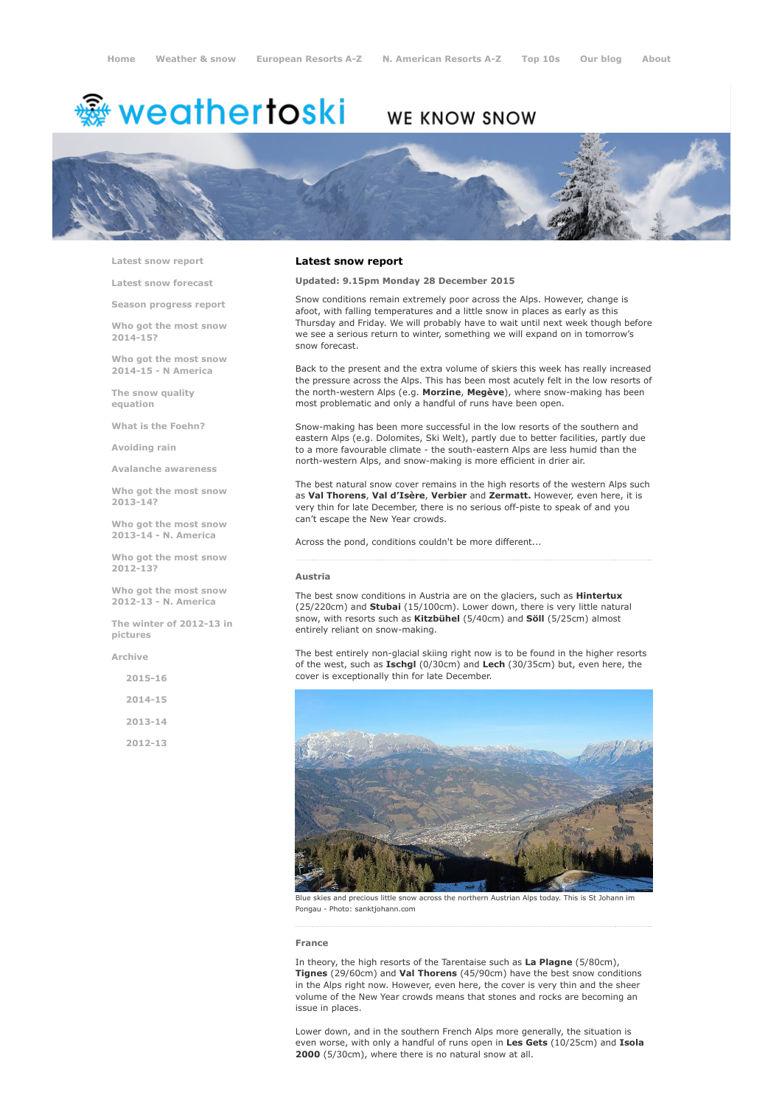# <sup>鑫</sup> weathertoski

# WE KNOW SNOW



Latest snow [report](http://www.weathertoski.co.uk/weather-snow/latest-snow-report/)

Latest snow [forecast](http://www.weathertoski.co.uk/weather-snow/latest-snow-forecast/)

Season [progress](http://www.weathertoski.co.uk/weather-snow/season-progress-report/) report

Who got the most snow 2014-15?

Who got the most snow 2014-15 - N America

The snow quality [equation](http://www.weathertoski.co.uk/weather-snow/the-snow-quality-equation/)

What is the [Foehn?](http://www.weathertoski.co.uk/weather-snow/what-is-the-foehn/)

[Avoiding](http://www.weathertoski.co.uk/weather-snow/avoiding-rain/) rain

Avalanche [awareness](http://www.weathertoski.co.uk/weather-snow/avalanche-awareness/)

Who got the most snow 2013-14?

Who got the most snow 2013-14 - N. America

Who got the most snow 2012-13?

Who got the most snow 2012-13 - N. America

The winter of 2012-13 in pictures

[Archive](http://www.weathertoski.co.uk/weather-snow/archive/)

2015-16

2014-15

2013-14

2012-13

# Latest snow report

Updated: 9.15pm Monday 28 December 2015

Snow conditions remain extremely poor across the Alps. However, change is afoot, with falling temperatures and a little snow in places as early as this Thursday and Friday. We will probably have to wait until next week though before we see a serious return to winter, something we will expand on in tomorrow's snow forecast.

Back to the present and the extra volume of skiers this week has really increased the pressure across the Alps. This has been most acutely felt in the low resorts of the north-western Alps (e.g. Morzine, Megève), where snow-making has been most problematic and only a handful of runs have been open.

Snow-making has been more successful in the low resorts of the southern and eastern Alps (e.g. Dolomites, Ski Welt), partly due to better facilities, partly due to a more favourable climate - the south-eastern Alps are less humid than the north-western Alps, and snow-making is more efficient in drier air.

The best natural snow cover remains in the high resorts of the western Alps such as Val Thorens, Val d'Isère, Verbier and Zermatt. However, even here, it is very thin for late December, there is no serious off-piste to speak of and you can't escape the New Year crowds.

Across the pond, conditions couldn't be more different...

## Austria

The best snow conditions in Austria are on the glaciers, such as **Hintertux** (25/220cm) and Stubai (15/100cm). Lower down, there is very little natural snow, with resorts such as Kitzbühel (5/40cm) and Söll (5/25cm) almost entirely reliant on snow-making.

The best entirely non-glacial skiing right now is to be found in the higher resorts of the west, such as Ischgl (0/30cm) and Lech (30/35cm) but, even here, the cover is exceptionally thin for late December.



Blue skies and precious little snow across the northern Austrian Alps today. This is St Johann im Pongau - Photo: sanktjohann.com

### France

In theory, the high resorts of the Tarentaise such as La Plagne (5/80cm), Tignes (29/60cm) and Val Thorens (45/90cm) have the best snow conditions in the Alps right now. However, even here, the cover is very thin and the sheer volume of the New Year crowds means that stones and rocks are becoming an issue in places.

Lower down, and in the southern French Alps more generally, the situation is even worse, with only a handful of runs open in Les Gets (10/25cm) and Isola 2000 (5/30cm), where there is no natural snow at all.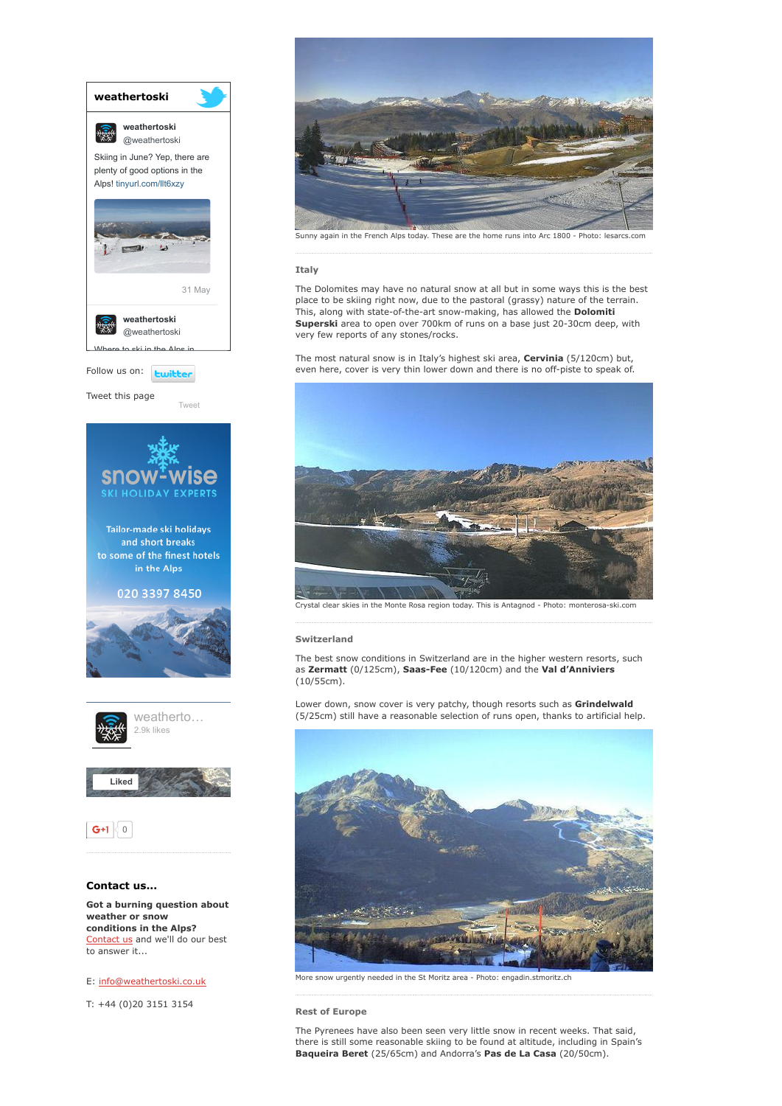

conditions in the Alps? [Contact](http://www.weathertoski.co.uk/about-1/contact-us/) us and we'll do our best to answer it...

E: [info@weathertoski.co.uk](mailto:fraser@weathertoski.co.uk)

T: +44 (0)20 3151 3154



Sunny again in the French Alps today. These are the home runs into Arc 1800 - Photo: lesarcs.com

# Italy

The Dolomites may have no natural snow at all but in some ways this is the best place to be skiing right now, due to the pastoral (grassy) nature of the terrain. This, along with state-of-the-art snow-making, has allowed the Dolomiti Superski area to open over 700km of runs on a base just 20-30cm deep, with very few reports of any stones/rocks.

The most natural snow is in Italy's highest ski area, Cervinia (5/120cm) but, even here, cover is very thin lower down and there is no off-piste to speak of.



Crystal clear skies in the Monte Rosa region today. This is Antagnod - Photo: monterosa-ski.con

#### Switzerland

The best snow conditions in Switzerland are in the higher western resorts, such as Zermatt (0/125cm), Saas-Fee (10/120cm) and the Val d'Anniviers (10/55cm).

Lower down, snow cover is very patchy, though resorts such as Grindelwald (5/25cm) still have a reasonable selection of runs open, thanks to artificial help.



More snow urgently needed in the St Moritz area - Photo: engadin.stmoritz.ch

Rest of Europe

The Pyrenees have also been seen very little snow in recent weeks. That said, there is still some reasonable skiing to be found at altitude, including in Spain's Baqueira Beret (25/65cm) and Andorra's Pas de La Casa (20/50cm).